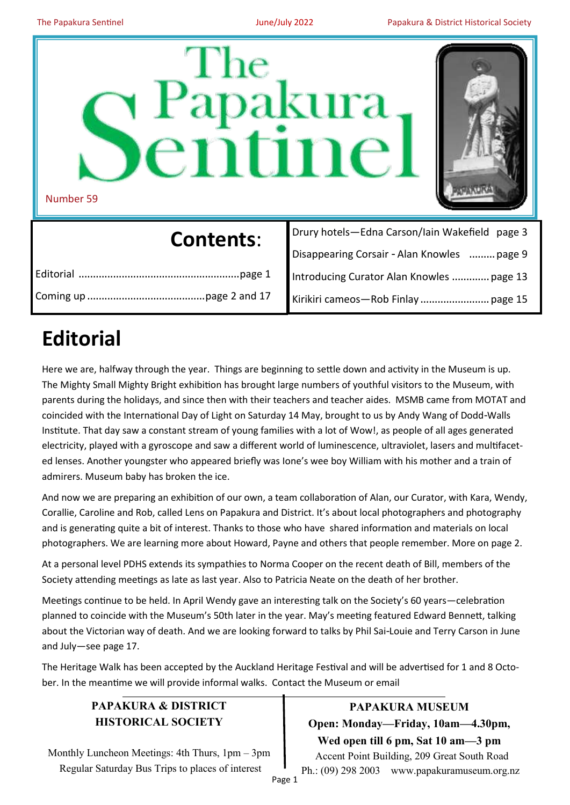

Coming up.........................................page 2 and 17

Introducing Curator Alan Knowles ............. page 13 Kirikiri cameos—Rob Finlay........................ page 15

# **Editorial**

Here we are, halfway through the year. Things are beginning to settle down and activity in the Museum is up. The Mighty Small Mighty Bright exhibition has brought large numbers of youthful visitors to the Museum, with parents during the holidays, and since then with their teachers and teacher aides. MSMB came from MOTAT and coincided with the International Day of Light on Saturday 14 May, brought to us by Andy Wang of Dodd-Walls Institute. That day saw a constant stream of young families with a lot of Wow!, as people of all ages generated electricity, played with a gyroscope and saw a different world of luminescence, ultraviolet, lasers and multifaceted lenses. Another youngster who appeared briefly was Ione's wee boy William with his mother and a train of admirers. Museum baby has broken the ice.

And now we are preparing an exhibition of our own, a team collaboration of Alan, our Curator, with Kara, Wendy, Corallie, Caroline and Rob, called Lens on Papakura and District. It's about local photographers and photography and is generating quite a bit of interest. Thanks to those who have shared information and materials on local photographers. We are learning more about Howard, Payne and others that people remember. More on page 2.

At a personal level PDHS extends its sympathies to Norma Cooper on the recent death of Bill, members of the Society attending meetings as late as last year. Also to Patricia Neate on the death of her brother.

Meetings continue to be held. In April Wendy gave an interesting talk on the Society's 60 years—celebration planned to coincide with the Museum's 50th later in the year. May's meeting featured Edward Bennett, talking about the Victorian way of death. And we are looking forward to talks by Phil Sai-Louie and Terry Carson in June and July—see page 17.

The Heritage Walk has been accepted by the Auckland Heritage Festival and will be advertised for 1 and 8 October. In the meantime we will provide informal walks. Contact the Museum or email

### **PAPAKURA & DISTRICT HISTORICAL SOCIETY**

Monthly Luncheon Meetings: 4th Thurs, 1pm – 3pm Regular Saturday Bus Trips to places of interest

**PAPAKURA MUSEUM Open: Monday—Friday, 10am—4.30pm, Wed open till 6 pm, Sat 10 am—3 pm** Accent Point Building, 209 Great South Road Ph.: (09) 298 2003 www.papakuramuseum.org.nz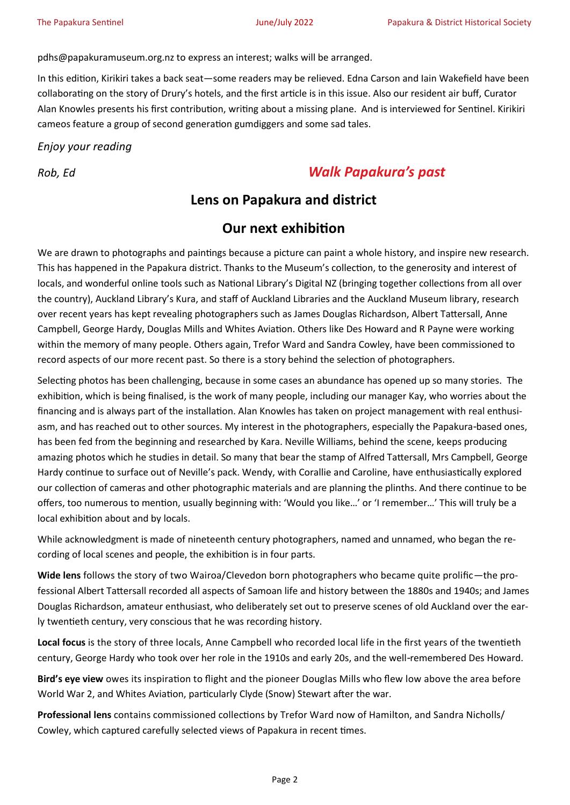pdhs@papakuramuseum.org.nz to express an interest; walks will be arranged.

In this edition, Kirikiri takes a back seat—some readers may be relieved. Edna Carson and Iain Wakefield have been collaborating on the story of Drury's hotels, and the first article is in this issue. Also our resident air buff, Curator Alan Knowles presents his first contribution, writing about a missing plane. And is interviewed for Sentinel. Kirikiri cameos feature a group of second generation gumdiggers and some sad tales.

### *Enjoy your reading*

# *Rob, Ed Walk Papakura's past*

## **Lens on Papakura and district**

### **Our next exhibition**

We are drawn to photographs and paintings because a picture can paint a whole history, and inspire new research. This has happened in the Papakura district. Thanks to the Museum's collection, to the generosity and interest of locals, and wonderful online tools such as National Library's Digital NZ (bringing together collections from all over the country), Auckland Library's Kura, and staff of Auckland Libraries and the Auckland Museum library, research over recent years has kept revealing photographers such as James Douglas Richardson, Albert Tattersall, Anne Campbell, George Hardy, Douglas Mills and Whites Aviation. Others like Des Howard and R Payne were working within the memory of many people. Others again, Trefor Ward and Sandra Cowley, have been commissioned to record aspects of our more recent past. So there is a story behind the selection of photographers.

Selecting photos has been challenging, because in some cases an abundance has opened up so many stories. The exhibition, which is being finalised, is the work of many people, including our manager Kay, who worries about the financing and is always part of the installation. Alan Knowles has taken on project management with real enthusiasm, and has reached out to other sources. My interest in the photographers, especially the Papakura-based ones, has been fed from the beginning and researched by Kara. Neville Williams, behind the scene, keeps producing amazing photos which he studies in detail. So many that bear the stamp of Alfred Tattersall, Mrs Campbell, George Hardy continue to surface out of Neville's pack. Wendy, with Corallie and Caroline, have enthusiastically explored our collection of cameras and other photographic materials and are planning the plinths. And there continue to be offers, too numerous to mention, usually beginning with: 'Would you like…' or 'I remember…' This will truly be a local exhibition about and by locals.

While acknowledgment is made of nineteenth century photographers, named and unnamed, who began the recording of local scenes and people, the exhibition is in four parts.

**Wide lens** follows the story of two Wairoa/Clevedon born photographers who became quite prolific—the professional Albert Tattersall recorded all aspects of Samoan life and history between the 1880s and 1940s; and James Douglas Richardson, amateur enthusiast, who deliberately set out to preserve scenes of old Auckland over the early twentieth century, very conscious that he was recording history.

**Local focus** is the story of three locals, Anne Campbell who recorded local life in the first years of the twentieth century, George Hardy who took over her role in the 1910s and early 20s, and the well-remembered Des Howard.

**Bird's eye view** owes its inspiration to flight and the pioneer Douglas Mills who flew low above the area before World War 2, and Whites Aviation, particularly Clyde (Snow) Stewart after the war.

**Professional lens** contains commissioned collections by Trefor Ward now of Hamilton, and Sandra Nicholls/ Cowley, which captured carefully selected views of Papakura in recent times.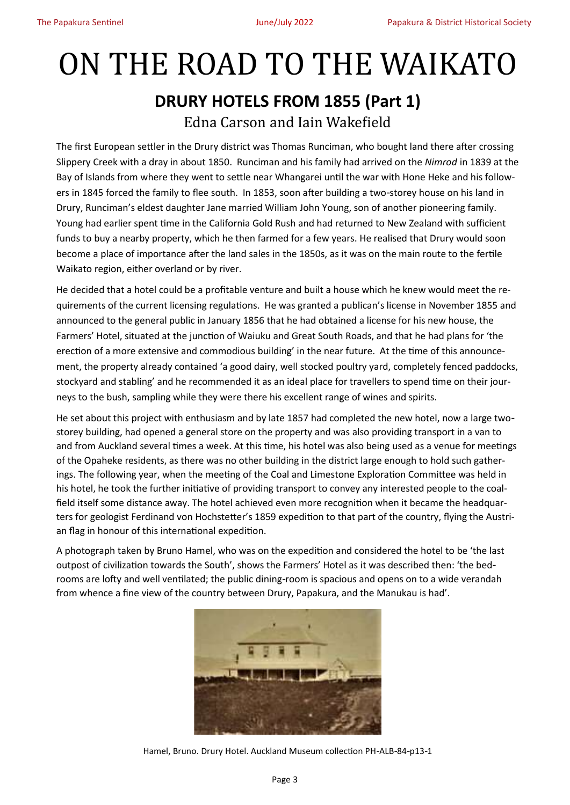# ON THE ROAD TO THE WAIKATO **DRURY HOTELS FROM 1855 (Part 1)** Edna Carson and Iain Wakefield

The first European settler in the Drury district was Thomas Runciman, who bought land there after crossing Slippery Creek with a dray in about 1850. Runciman and his family had arrived on the *Nimrod* in 1839 at the Bay of Islands from where they went to settle near Whangarei until the war with Hone Heke and his followers in 1845 forced the family to flee south. In 1853, soon after building a two-storey house on his land in Drury, Runciman's eldest daughter Jane married William John Young, son of another pioneering family. Young had earlier spent time in the California Gold Rush and had returned to New Zealand with sufficient funds to buy a nearby property, which he then farmed for a few years. He realised that Drury would soon become a place of importance after the land sales in the 1850s, as it was on the main route to the fertile Waikato region, either overland or by river.

He decided that a hotel could be a profitable venture and built a house which he knew would meet the requirements of the current licensing regulations. He was granted a publican's license in November 1855 and announced to the general public in January 1856 that he had obtained a license for his new house, the Farmers' Hotel, situated at the junction of Waiuku and Great South Roads, and that he had plans for 'the erection of a more extensive and commodious building' in the near future. At the time of this announcement, the property already contained 'a good dairy, well stocked poultry yard, completely fenced paddocks, stockyard and stabling' and he recommended it as an ideal place for travellers to spend time on their journeys to the bush, sampling while they were there his excellent range of wines and spirits.

He set about this project with enthusiasm and by late 1857 had completed the new hotel, now a large twostorey building, had opened a general store on the property and was also providing transport in a van to and from Auckland several times a week. At this time, his hotel was also being used as a venue for meetings of the Opaheke residents, as there was no other building in the district large enough to hold such gatherings. The following year, when the meeting of the Coal and Limestone Exploration Committee was held in his hotel, he took the further initiative of providing transport to convey any interested people to the coalfield itself some distance away. The hotel achieved even more recognition when it became the headquarters for geologist Ferdinand von Hochstetter's 1859 expedition to that part of the country, flying the Austrian flag in honour of this international expedition.

A photograph taken by Bruno Hamel, who was on the expedition and considered the hotel to be 'the last outpost of civilization towards the South', shows the Farmers' Hotel as it was described then: 'the bedrooms are lofty and well ventilated; the public dining-room is spacious and opens on to a wide verandah from whence a fine view of the country between Drury, Papakura, and the Manukau is had'.



Hamel, Bruno. Drury Hotel. Auckland Museum collection PH-ALB-84-p13-1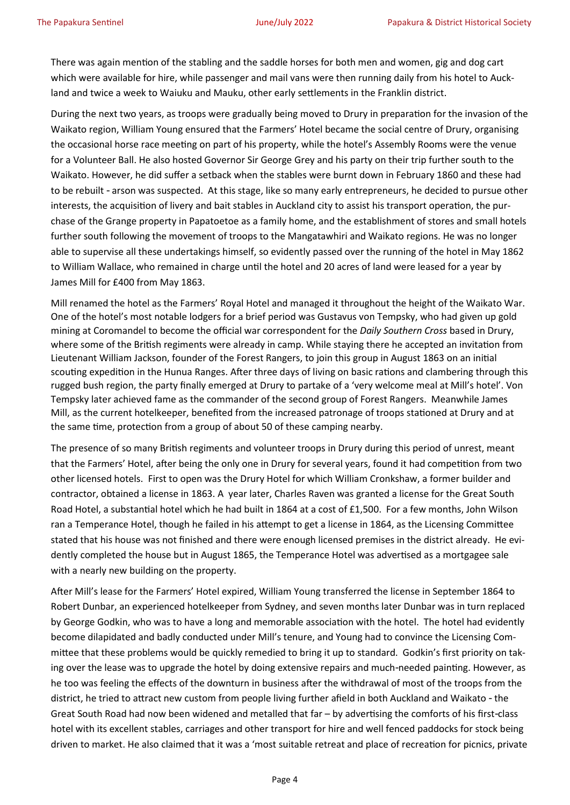There was again mention of the stabling and the saddle horses for both men and women, gig and dog cart which were available for hire, while passenger and mail vans were then running daily from his hotel to Auckland and twice a week to Waiuku and Mauku, other early settlements in the Franklin district.

During the next two years, as troops were gradually being moved to Drury in preparation for the invasion of the Waikato region, William Young ensured that the Farmers' Hotel became the social centre of Drury, organising the occasional horse race meeting on part of his property, while the hotel's Assembly Rooms were the venue for a Volunteer Ball. He also hosted Governor Sir George Grey and his party on their trip further south to the Waikato. However, he did suffer a setback when the stables were burnt down in February 1860 and these had to be rebuilt - arson was suspected. At this stage, like so many early entrepreneurs, he decided to pursue other interests, the acquisition of livery and bait stables in Auckland city to assist his transport operation, the purchase of the Grange property in Papatoetoe as a family home, and the establishment of stores and small hotels further south following the movement of troops to the Mangatawhiri and Waikato regions. He was no longer able to supervise all these undertakings himself, so evidently passed over the running of the hotel in May 1862 to William Wallace, who remained in charge until the hotel and 20 acres of land were leased for a year by James Mill for £400 from May 1863.

Mill renamed the hotel as the Farmers' Royal Hotel and managed it throughout the height of the Waikato War. One of the hotel's most notable lodgers for a brief period was Gustavus von Tempsky, who had given up gold mining at Coromandel to become the official war correspondent for the *Daily Southern Cross* based in Drury, where some of the British regiments were already in camp. While staying there he accepted an invitation from Lieutenant William Jackson, founder of the Forest Rangers, to join this group in August 1863 on an initial scouting expedition in the Hunua Ranges. After three days of living on basic rations and clambering through this rugged bush region, the party finally emerged at Drury to partake of a 'very welcome meal at Mill's hotel'. Von Tempsky later achieved fame as the commander of the second group of Forest Rangers. Meanwhile James Mill, as the current hotelkeeper, benefited from the increased patronage of troops stationed at Drury and at the same time, protection from a group of about 50 of these camping nearby.

The presence of so many British regiments and volunteer troops in Drury during this period of unrest, meant that the Farmers' Hotel, after being the only one in Drury for several years, found it had competition from two other licensed hotels. First to open was the Drury Hotel for which William Cronkshaw, a former builder and contractor, obtained a license in 1863. A year later, Charles Raven was granted a license for the Great South Road Hotel, a substantial hotel which he had built in 1864 at a cost of £1,500. For a few months, John Wilson ran a Temperance Hotel, though he failed in his attempt to get a license in 1864, as the Licensing Committee stated that his house was not finished and there were enough licensed premises in the district already. He evidently completed the house but in August 1865, the Temperance Hotel was advertised as a mortgagee sale with a nearly new building on the property.

After Mill's lease for the Farmers' Hotel expired, William Young transferred the license in September 1864 to Robert Dunbar, an experienced hotelkeeper from Sydney, and seven months later Dunbar was in turn replaced by George Godkin, who was to have a long and memorable association with the hotel. The hotel had evidently become dilapidated and badly conducted under Mill's tenure, and Young had to convince the Licensing Committee that these problems would be quickly remedied to bring it up to standard. Godkin's first priority on taking over the lease was to upgrade the hotel by doing extensive repairs and much-needed painting. However, as he too was feeling the effects of the downturn in business after the withdrawal of most of the troops from the district, he tried to attract new custom from people living further afield in both Auckland and Waikato - the Great South Road had now been widened and metalled that far – by advertising the comforts of his first-class hotel with its excellent stables, carriages and other transport for hire and well fenced paddocks for stock being driven to market. He also claimed that it was a 'most suitable retreat and place of recreation for picnics, private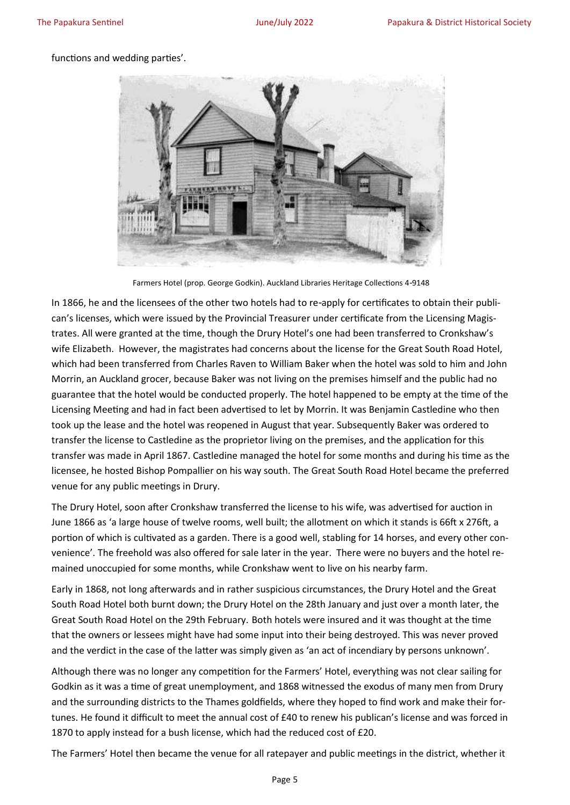#### functions and wedding parties'.



Farmers Hotel (prop. George Godkin). Auckland Libraries Heritage Collections 4-9148

In 1866, he and the licensees of the other two hotels had to re-apply for certificates to obtain their publican's licenses, which were issued by the Provincial Treasurer under certificate from the Licensing Magistrates. All were granted at the time, though the Drury Hotel's one had been transferred to Cronkshaw's wife Elizabeth. However, the magistrates had concerns about the license for the Great South Road Hotel, which had been transferred from Charles Raven to William Baker when the hotel was sold to him and John Morrin, an Auckland grocer, because Baker was not living on the premises himself and the public had no guarantee that the hotel would be conducted properly. The hotel happened to be empty at the time of the Licensing Meeting and had in fact been advertised to let by Morrin. It was Benjamin Castledine who then took up the lease and the hotel was reopened in August that year. Subsequently Baker was ordered to transfer the license to Castledine as the proprietor living on the premises, and the application for this transfer was made in April 1867. Castledine managed the hotel for some months and during his time as the licensee, he hosted Bishop Pompallier on his way south. The Great South Road Hotel became the preferred venue for any public meetings in Drury.

The Drury Hotel, soon after Cronkshaw transferred the license to his wife, was advertised for auction in June 1866 as 'a large house of twelve rooms, well built; the allotment on which it stands is 66ft x 276ft, a portion of which is cultivated as a garden. There is a good well, stabling for 14 horses, and every other convenience'. The freehold was also offered for sale later in the year. There were no buyers and the hotel remained unoccupied for some months, while Cronkshaw went to live on his nearby farm.

Early in 1868, not long afterwards and in rather suspicious circumstances, the Drury Hotel and the Great South Road Hotel both burnt down; the Drury Hotel on the 28th January and just over a month later, the Great South Road Hotel on the 29th February. Both hotels were insured and it was thought at the time that the owners or lessees might have had some input into their being destroyed. This was never proved and the verdict in the case of the latter was simply given as 'an act of incendiary by persons unknown'.

Although there was no longer any competition for the Farmers' Hotel, everything was not clear sailing for Godkin as it was a time of great unemployment, and 1868 witnessed the exodus of many men from Drury and the surrounding districts to the Thames goldfields, where they hoped to find work and make their fortunes. He found it difficult to meet the annual cost of £40 to renew his publican's license and was forced in 1870 to apply instead for a bush license, which had the reduced cost of £20.

The Farmers' Hotel then became the venue for all ratepayer and public meetings in the district, whether it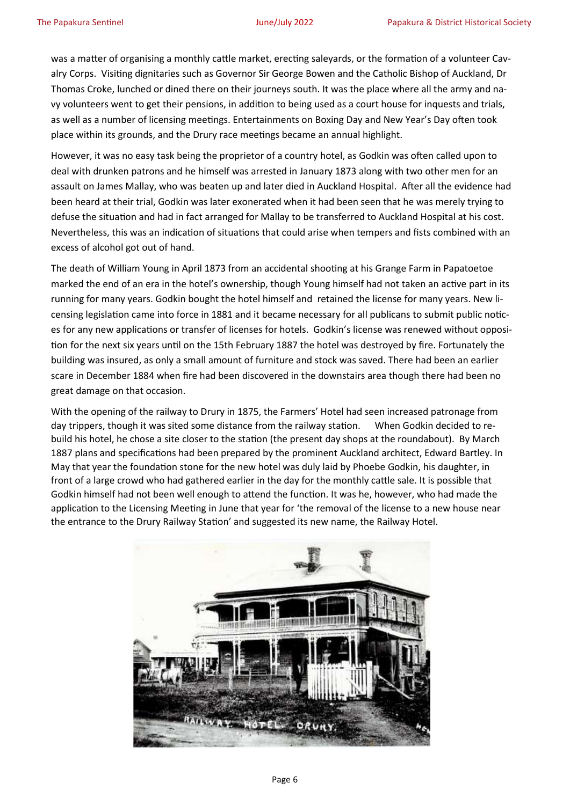was a matter of organising a monthly cattle market, erecting saleyards, or the formation of a volunteer Cavalry Corps. Visiting dignitaries such as Governor Sir George Bowen and the Catholic Bishop of Auckland, Dr Thomas Croke, lunched or dined there on their journeys south. It was the place where all the army and navy volunteers went to get their pensions, in addition to being used as a court house for inquests and trials, as well as a number of licensing meetings. Entertainments on Boxing Day and New Year's Day often took place within its grounds, and the Drury race meetings became an annual highlight.

However, it was no easy task being the proprietor of a country hotel, as Godkin was often called upon to deal with drunken patrons and he himself was arrested in January 1873 along with two other men for an assault on James Mallay, who was beaten up and later died in Auckland Hospital. After all the evidence had been heard at their trial, Godkin was later exonerated when it had been seen that he was merely trying to defuse the situation and had in fact arranged for Mallay to be transferred to Auckland Hospital at his cost. Nevertheless, this was an indication of situations that could arise when tempers and fists combined with an excess of alcohol got out of hand.

The death of William Young in April 1873 from an accidental shooting at his Grange Farm in Papatoetoe marked the end of an era in the hotel's ownership, though Young himself had not taken an active part in its running for many years. Godkin bought the hotel himself and retained the license for many years. New licensing legislation came into force in 1881 and it became necessary for all publicans to submit public notices for any new applications or transfer of licenses for hotels. Godkin's license was renewed without opposition for the next six years until on the 15th February 1887 the hotel was destroyed by fire. Fortunately the building was insured, as only a small amount of furniture and stock was saved. There had been an earlier scare in December 1884 when fire had been discovered in the downstairs area though there had been no great damage on that occasion.

With the opening of the railway to Drury in 1875, the Farmers' Hotel had seen increased patronage from day trippers, though it was sited some distance from the railway station. When Godkin decided to rebuild his hotel, he chose a site closer to the station (the present day shops at the roundabout). By March 1887 plans and specifications had been prepared by the prominent Auckland architect, Edward Bartley. In May that year the foundation stone for the new hotel was duly laid by Phoebe Godkin, his daughter, in front of a large crowd who had gathered earlier in the day for the monthly cattle sale. It is possible that Godkin himself had not been well enough to attend the function. It was he, however, who had made the application to the Licensing Meeting in June that year for 'the removal of the license to a new house near the entrance to the Drury Railway Station' and suggested its new name, the Railway Hotel.

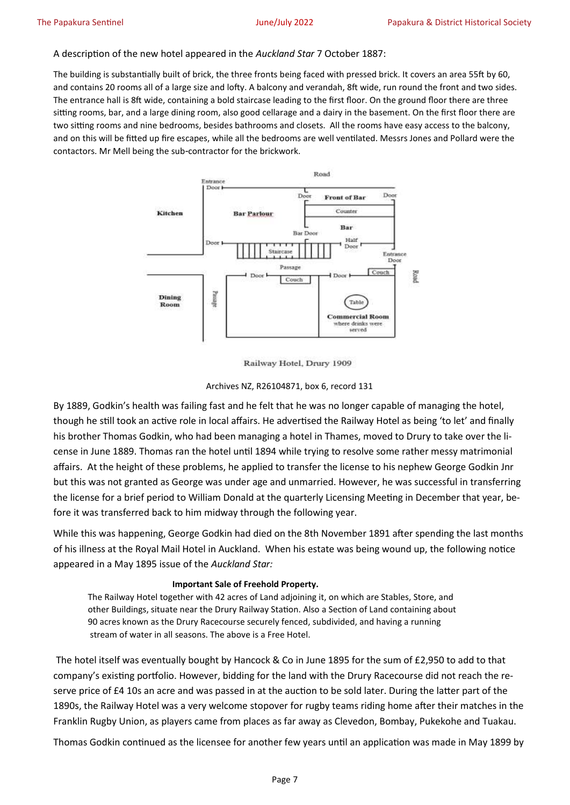#### A description of the new hotel appeared in the *Auckland Star* 7 October 1887:

The building is substantially built of brick, the three fronts being faced with pressed brick. It covers an area 55ft by 60, and contains 20 rooms all of a large size and lofty. A balcony and verandah, 8ft wide, run round the front and two sides. The entrance hall is 8ft wide, containing a bold staircase leading to the first floor. On the ground floor there are three sitting rooms, bar, and a large dining room, also good cellarage and a dairy in the basement. On the first floor there are two sitting rooms and nine bedrooms, besides bathrooms and closets. All the rooms have easy access to the balcony, and on this will be fitted up fire escapes, while all the bedrooms are well ventilated. Messrs Jones and Pollard were the contactors. Mr Mell being the sub-contractor for the brickwork.



Railway Hotel, Drury 1909

#### Archives NZ, R26104871, box 6, record 131

By 1889, Godkin's health was failing fast and he felt that he was no longer capable of managing the hotel, though he still took an active role in local affairs. He advertised the Railway Hotel as being 'to let' and finally his brother Thomas Godkin, who had been managing a hotel in Thames, moved to Drury to take over the license in June 1889. Thomas ran the hotel until 1894 while trying to resolve some rather messy matrimonial affairs. At the height of these problems, he applied to transfer the license to his nephew George Godkin Jnr but this was not granted as George was under age and unmarried. However, he was successful in transferring the license for a brief period to William Donald at the quarterly Licensing Meeting in December that year, before it was transferred back to him midway through the following year.

While this was happening, George Godkin had died on the 8th November 1891 after spending the last months of his illness at the Royal Mail Hotel in Auckland. When his estate was being wound up, the following notice appeared in a May 1895 issue of the *Auckland Star:*

#### **Important Sale of Freehold Property.**

The Railway Hotel together with 42 acres of Land adjoining it, on which are Stables, Store, and other Buildings, situate near the Drury Railway Station. Also a Section of Land containing about 90 acres known as the Drury Racecourse securely fenced, subdivided, and having a running stream of water in all seasons. The above is a Free Hotel.

The hotel itself was eventually bought by Hancock & Co in June 1895 for the sum of £2,950 to add to that company's existing portfolio. However, bidding for the land with the Drury Racecourse did not reach the reserve price of £4 10s an acre and was passed in at the auction to be sold later. During the latter part of the 1890s, the Railway Hotel was a very welcome stopover for rugby teams riding home after their matches in the Franklin Rugby Union, as players came from places as far away as Clevedon, Bombay, Pukekohe and Tuakau.

Thomas Godkin continued as the licensee for another few years until an application was made in May 1899 by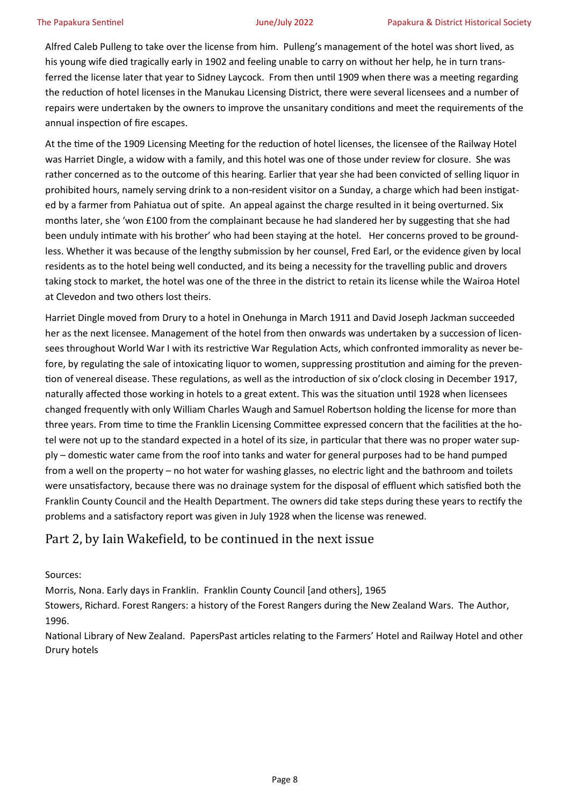Alfred Caleb Pulleng to take over the license from him. Pulleng's management of the hotel was short lived, as his young wife died tragically early in 1902 and feeling unable to carry on without her help, he in turn transferred the license later that year to Sidney Laycock. From then until 1909 when there was a meeting regarding the reduction of hotel licenses in the Manukau Licensing District, there were several licensees and a number of repairs were undertaken by the owners to improve the unsanitary conditions and meet the requirements of the annual inspection of fire escapes.

At the time of the 1909 Licensing Meeting for the reduction of hotel licenses, the licensee of the Railway Hotel was Harriet Dingle, a widow with a family, and this hotel was one of those under review for closure. She was rather concerned as to the outcome of this hearing. Earlier that year she had been convicted of selling liquor in prohibited hours, namely serving drink to a non-resident visitor on a Sunday, a charge which had been instigated by a farmer from Pahiatua out of spite. An appeal against the charge resulted in it being overturned. Six months later, she 'won £100 from the complainant because he had slandered her by suggesting that she had been unduly intimate with his brother' who had been staying at the hotel. Her concerns proved to be groundless. Whether it was because of the lengthy submission by her counsel, Fred Earl, or the evidence given by local residents as to the hotel being well conducted, and its being a necessity for the travelling public and drovers taking stock to market, the hotel was one of the three in the district to retain its license while the Wairoa Hotel at Clevedon and two others lost theirs.

Harriet Dingle moved from Drury to a hotel in Onehunga in March 1911 and David Joseph Jackman succeeded her as the next licensee. Management of the hotel from then onwards was undertaken by a succession of licensees throughout World War I with its restrictive War Regulation Acts, which confronted immorality as never before, by regulating the sale of intoxicating liquor to women, suppressing prostitution and aiming for the prevention of venereal disease. These regulations, as well as the introduction of six o'clock closing in December 1917, naturally affected those working in hotels to a great extent. This was the situation until 1928 when licensees changed frequently with only William Charles Waugh and Samuel Robertson holding the license for more than three years. From time to time the Franklin Licensing Committee expressed concern that the facilities at the hotel were not up to the standard expected in a hotel of its size, in particular that there was no proper water supply – domestic water came from the roof into tanks and water for general purposes had to be hand pumped from a well on the property – no hot water for washing glasses, no electric light and the bathroom and toilets were unsatisfactory, because there was no drainage system for the disposal of effluent which satisfied both the Franklin County Council and the Health Department. The owners did take steps during these years to rectify the problems and a satisfactory report was given in July 1928 when the license was renewed.

### Part 2, by Iain Wakefield, to be continued in the next issue

Sources:

Morris, Nona. Early days in Franklin. Franklin County Council [and others], 1965

Stowers, Richard. Forest Rangers: a history of the Forest Rangers during the New Zealand Wars. The Author, 1996.

National Library of New Zealand. PapersPast articles relating to the Farmers' Hotel and Railway Hotel and other Drury hotels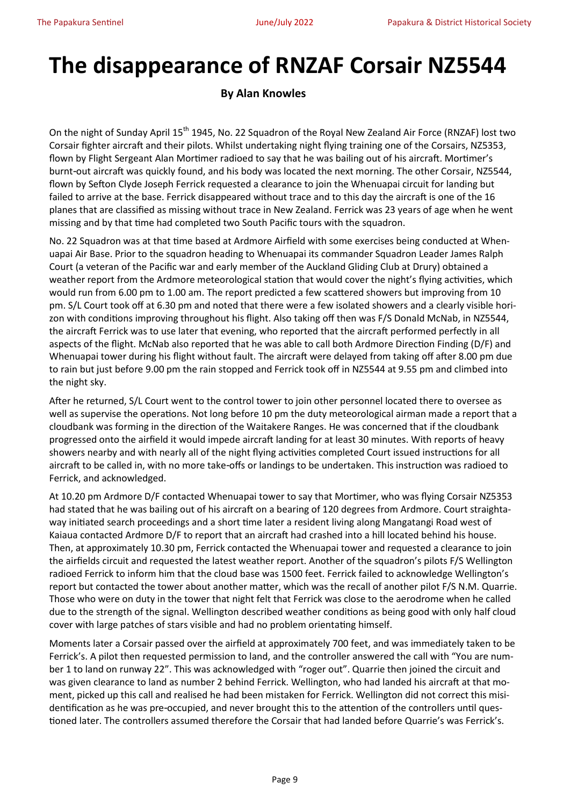# **The disappearance of RNZAF Corsair NZ5544**

#### **By Alan Knowles**

On the night of Sunday April 15<sup>th</sup> 1945, No. 22 Squadron of the Royal New Zealand Air Force (RNZAF) lost two Corsair fighter aircraft and their pilots. Whilst undertaking night flying training one of the Corsairs, NZ5353, flown by Flight Sergeant Alan Mortimer radioed to say that he was bailing out of his aircraft. Mortimer's burnt-out aircraft was quickly found, and his body was located the next morning. The other Corsair, NZ5544, flown by Sefton Clyde Joseph Ferrick requested a clearance to join the Whenuapai circuit for landing but failed to arrive at the base. Ferrick disappeared without trace and to this day the aircraft is one of the 16 planes that are classified as missing without trace in New Zealand. Ferrick was 23 years of age when he went missing and by that time had completed two South Pacific tours with the squadron.

No. 22 Squadron was at that time based at Ardmore Airfield with some exercises being conducted at Whenuapai Air Base. Prior to the squadron heading to Whenuapai its commander Squadron Leader James Ralph Court (a veteran of the Pacific war and early member of the Auckland Gliding Club at Drury) obtained a weather report from the Ardmore meteorological station that would cover the night's flying activities, which would run from 6.00 pm to 1.00 am. The report predicted a few scattered showers but improving from 10 pm. S/L Court took off at 6.30 pm and noted that there were a few isolated showers and a clearly visible horizon with conditions improving throughout his flight. Also taking off then was F/S Donald McNab, in NZ5544, the aircraft Ferrick was to use later that evening, who reported that the aircraft performed perfectly in all aspects of the flight. McNab also reported that he was able to call both Ardmore Direction Finding (D/F) and Whenuapai tower during his flight without fault. The aircraft were delayed from taking off after 8.00 pm due to rain but just before 9.00 pm the rain stopped and Ferrick took off in NZ5544 at 9.55 pm and climbed into the night sky.

After he returned, S/L Court went to the control tower to join other personnel located there to oversee as well as supervise the operations. Not long before 10 pm the duty meteorological airman made a report that a cloudbank was forming in the direction of the Waitakere Ranges. He was concerned that if the cloudbank progressed onto the airfield it would impede aircraft landing for at least 30 minutes. With reports of heavy showers nearby and with nearly all of the night flying activities completed Court issued instructions for all aircraft to be called in, with no more take-offs or landings to be undertaken. This instruction was radioed to Ferrick, and acknowledged.

At 10.20 pm Ardmore D/F contacted Whenuapai tower to say that Mortimer, who was flying Corsair NZ5353 had stated that he was bailing out of his aircraft on a bearing of 120 degrees from Ardmore. Court straightaway initiated search proceedings and a short time later a resident living along Mangatangi Road west of Kaiaua contacted Ardmore D/F to report that an aircraft had crashed into a hill located behind his house. Then, at approximately 10.30 pm, Ferrick contacted the Whenuapai tower and requested a clearance to join the airfields circuit and requested the latest weather report. Another of the squadron's pilots F/S Wellington radioed Ferrick to inform him that the cloud base was 1500 feet. Ferrick failed to acknowledge Wellington's report but contacted the tower about another matter, which was the recall of another pilot F/S N.M. Quarrie. Those who were on duty in the tower that night felt that Ferrick was close to the aerodrome when he called due to the strength of the signal. Wellington described weather conditions as being good with only half cloud cover with large patches of stars visible and had no problem orientating himself.

Moments later a Corsair passed over the airfield at approximately 700 feet, and was immediately taken to be Ferrick's. A pilot then requested permission to land, and the controller answered the call with "You are number 1 to land on runway 22". This was acknowledged with "roger out". Quarrie then joined the circuit and was given clearance to land as number 2 behind Ferrick. Wellington, who had landed his aircraft at that moment, picked up this call and realised he had been mistaken for Ferrick. Wellington did not correct this misidentification as he was pre-occupied, and never brought this to the attention of the controllers until questioned later. The controllers assumed therefore the Corsair that had landed before Quarrie's was Ferrick's.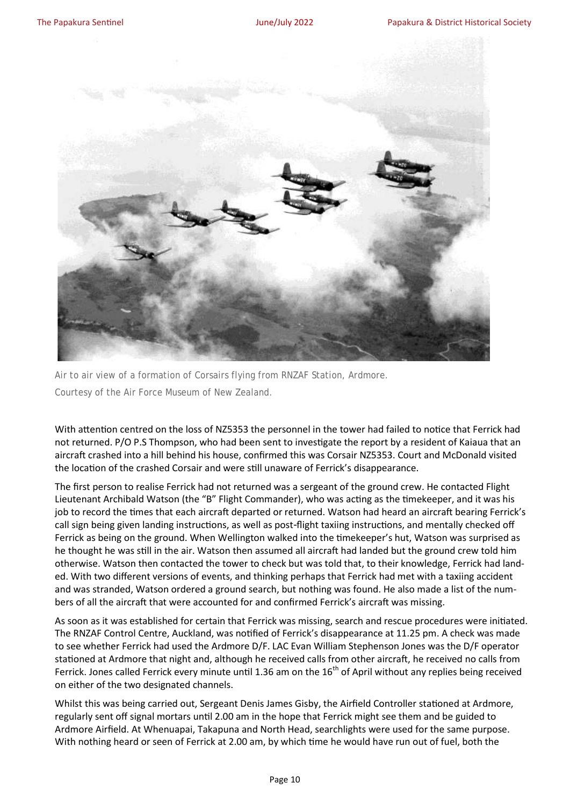

Air to air view of a formation of Corsairs flying from RNZAF Station, Ardmore. Courtesy of the Air Force Museum of New Zealand.

With attention centred on the loss of NZ5353 the personnel in the tower had failed to notice that Ferrick had not returned. P/O P.S Thompson, who had been sent to investigate the report by a resident of Kaiaua that an aircraft crashed into a hill behind his house, confirmed this was Corsair NZ5353. Court and McDonald visited the location of the crashed Corsair and were still unaware of Ferrick's disappearance.

The first person to realise Ferrick had not returned was a sergeant of the ground crew. He contacted Flight Lieutenant Archibald Watson (the "B" Flight Commander), who was acting as the timekeeper, and it was his job to record the times that each aircraft departed or returned. Watson had heard an aircraft bearing Ferrick's call sign being given landing instructions, as well as post-flight taxiing instructions, and mentally checked off Ferrick as being on the ground. When Wellington walked into the timekeeper's hut, Watson was surprised as he thought he was still in the air. Watson then assumed all aircraft had landed but the ground crew told him otherwise. Watson then contacted the tower to check but was told that, to their knowledge, Ferrick had landed. With two different versions of events, and thinking perhaps that Ferrick had met with a taxiing accident and was stranded, Watson ordered a ground search, but nothing was found. He also made a list of the numbers of all the aircraft that were accounted for and confirmed Ferrick's aircraft was missing.

As soon as it was established for certain that Ferrick was missing, search and rescue procedures were initiated. The RNZAF Control Centre, Auckland, was notified of Ferrick's disappearance at 11.25 pm. A check was made to see whether Ferrick had used the Ardmore D/F. LAC Evan William Stephenson Jones was the D/F operator stationed at Ardmore that night and, although he received calls from other aircraft, he received no calls from Ferrick. Jones called Ferrick every minute until 1.36 am on the  $16<sup>th</sup>$  of April without any replies being received on either of the two designated channels.

Whilst this was being carried out, Sergeant Denis James Gisby, the Airfield Controller stationed at Ardmore, regularly sent off signal mortars until 2.00 am in the hope that Ferrick might see them and be guided to Ardmore Airfield. At Whenuapai, Takapuna and North Head, searchlights were used for the same purpose. With nothing heard or seen of Ferrick at 2.00 am, by which time he would have run out of fuel, both the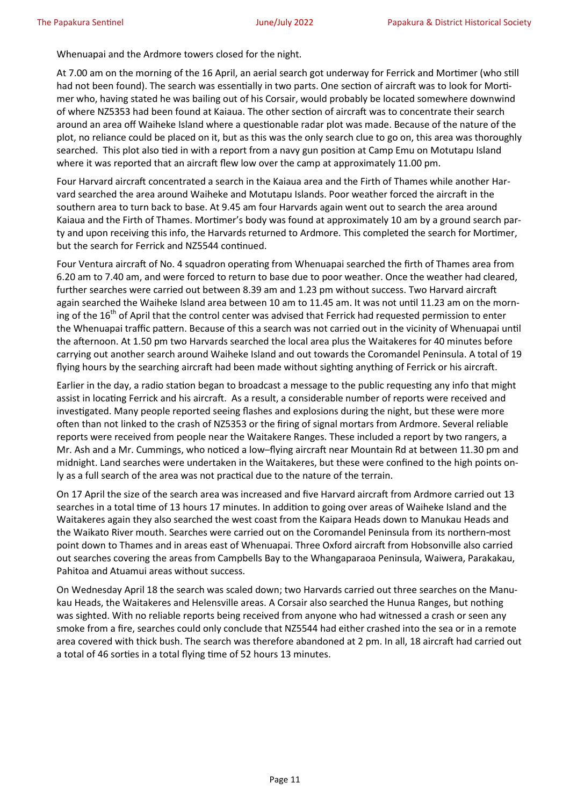Whenuapai and the Ardmore towers closed for the night.

At 7.00 am on the morning of the 16 April, an aerial search got underway for Ferrick and Mortimer (who still had not been found). The search was essentially in two parts. One section of aircraft was to look for Mortimer who, having stated he was bailing out of his Corsair, would probably be located somewhere downwind of where NZ5353 had been found at Kaiaua. The other section of aircraft was to concentrate their search around an area off Waiheke Island where a questionable radar plot was made. Because of the nature of the plot, no reliance could be placed on it, but as this was the only search clue to go on, this area was thoroughly searched. This plot also tied in with a report from a navy gun position at Camp Emu on Motutapu Island where it was reported that an aircraft flew low over the camp at approximately 11.00 pm.

Four Harvard aircraft concentrated a search in the Kaiaua area and the Firth of Thames while another Harvard searched the area around Waiheke and Motutapu Islands. Poor weather forced the aircraft in the southern area to turn back to base. At 9.45 am four Harvards again went out to search the area around Kaiaua and the Firth of Thames. Mortimer's body was found at approximately 10 am by a ground search party and upon receiving this info, the Harvards returned to Ardmore. This completed the search for Mortimer, but the search for Ferrick and NZ5544 continued.

Four Ventura aircraft of No. 4 squadron operating from Whenuapai searched the firth of Thames area from 6.20 am to 7.40 am, and were forced to return to base due to poor weather. Once the weather had cleared, further searches were carried out between 8.39 am and 1.23 pm without success. Two Harvard aircraft again searched the Waiheke Island area between 10 am to 11.45 am. It was not until 11.23 am on the morning of the 16<sup>th</sup> of April that the control center was advised that Ferrick had requested permission to enter the Whenuapai traffic pattern. Because of this a search was not carried out in the vicinity of Whenuapai until the afternoon. At 1.50 pm two Harvards searched the local area plus the Waitakeres for 40 minutes before carrying out another search around Waiheke Island and out towards the Coromandel Peninsula. A total of 19 flying hours by the searching aircraft had been made without sighting anything of Ferrick or his aircraft.

Earlier in the day, a radio station began to broadcast a message to the public requesting any info that might assist in locating Ferrick and his aircraft. As a result, a considerable number of reports were received and investigated. Many people reported seeing flashes and explosions during the night, but these were more often than not linked to the crash of NZ5353 or the firing of signal mortars from Ardmore. Several reliable reports were received from people near the Waitakere Ranges. These included a report by two rangers, a Mr. Ash and a Mr. Cummings, who noticed a low–flying aircraft near Mountain Rd at between 11.30 pm and midnight. Land searches were undertaken in the Waitakeres, but these were confined to the high points only as a full search of the area was not practical due to the nature of the terrain.

On 17 April the size of the search area was increased and five Harvard aircraft from Ardmore carried out 13 searches in a total time of 13 hours 17 minutes. In addition to going over areas of Waiheke Island and the Waitakeres again they also searched the west coast from the Kaipara Heads down to Manukau Heads and the Waikato River mouth. Searches were carried out on the Coromandel Peninsula from its northern-most point down to Thames and in areas east of Whenuapai. Three Oxford aircraft from Hobsonville also carried out searches covering the areas from Campbells Bay to the Whangaparaoa Peninsula, Waiwera, Parakakau, Pahitoa and Atuamui areas without success.

On Wednesday April 18 the search was scaled down; two Harvards carried out three searches on the Manukau Heads, the Waitakeres and Helensville areas. A Corsair also searched the Hunua Ranges, but nothing was sighted. With no reliable reports being received from anyone who had witnessed a crash or seen any smoke from a fire, searches could only conclude that NZ5544 had either crashed into the sea or in a remote area covered with thick bush. The search was therefore abandoned at 2 pm. In all, 18 aircraft had carried out a total of 46 sorties in a total flying time of 52 hours 13 minutes.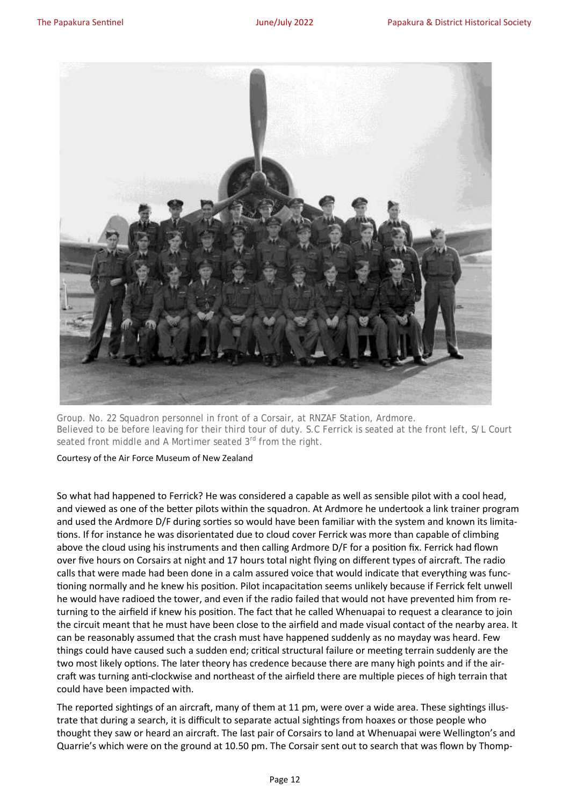

Group. No. 22 Squadron personnel in front of a Corsair, at RNZAF Station, Ardmore. Believed to be before leaving for their third tour of duty. S.C Ferrick is seated at the front left, S/L Court seated front middle and A Mortimer seated 3<sup>rd</sup> from the right.

#### Courtesy of the Air Force Museum of New Zealand

So what had happened to Ferrick? He was considered a capable as well as sensible pilot with a cool head, and viewed as one of the better pilots within the squadron. At Ardmore he undertook a link trainer program and used the Ardmore D/F during sorties so would have been familiar with the system and known its limitations. If for instance he was disorientated due to cloud cover Ferrick was more than capable of climbing above the cloud using his instruments and then calling Ardmore D/F for a position fix. Ferrick had flown over five hours on Corsairs at night and 17 hours total night flying on different types of aircraft. The radio calls that were made had been done in a calm assured voice that would indicate that everything was functioning normally and he knew his position. Pilot incapacitation seems unlikely because if Ferrick felt unwell he would have radioed the tower, and even if the radio failed that would not have prevented him from returning to the airfield if knew his position. The fact that he called Whenuapai to request a clearance to join the circuit meant that he must have been close to the airfield and made visual contact of the nearby area. It can be reasonably assumed that the crash must have happened suddenly as no mayday was heard. Few things could have caused such a sudden end; critical structural failure or meeting terrain suddenly are the two most likely options. The later theory has credence because there are many high points and if the aircraft was turning anti-clockwise and northeast of the airfield there are multiple pieces of high terrain that could have been impacted with.

The reported sightings of an aircraft, many of them at 11 pm, were over a wide area. These sightings illustrate that during a search, it is difficult to separate actual sightings from hoaxes or those people who thought they saw or heard an aircraft. The last pair of Corsairs to land at Whenuapai were Wellington's and Quarrie's which were on the ground at 10.50 pm. The Corsair sent out to search that was flown by Thomp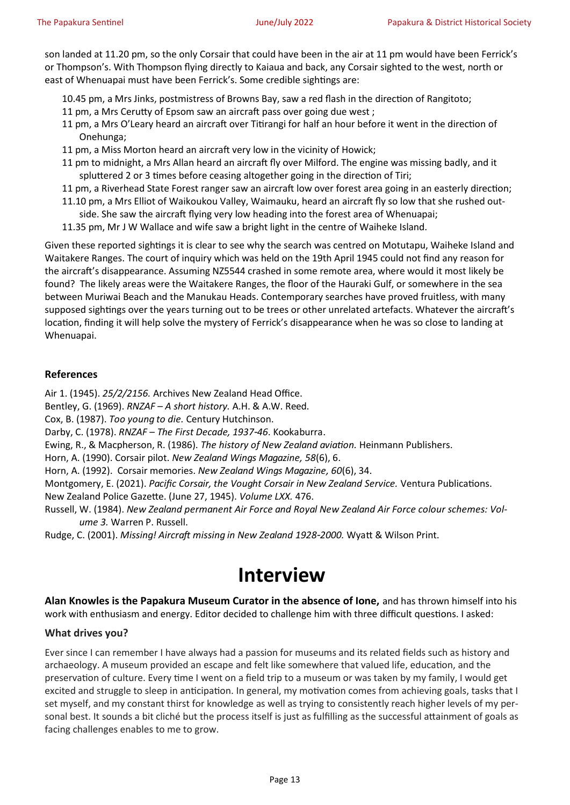son landed at 11.20 pm, so the only Corsair that could have been in the air at 11 pm would have been Ferrick's or Thompson's. With Thompson flying directly to Kaiaua and back, any Corsair sighted to the west, north or east of Whenuapai must have been Ferrick's. Some credible sightings are:

- 10.45 pm, a Mrs Jinks, postmistress of Browns Bay, saw a red flash in the direction of Rangitoto;
- 11 pm, a Mrs Cerutty of Epsom saw an aircraft pass over going due west ;
- 11 pm, a Mrs O'Leary heard an aircraft over Titirangi for half an hour before it went in the direction of Onehunga;
- 11 pm, a Miss Morton heard an aircraft very low in the vicinity of Howick;
- 11 pm to midnight, a Mrs Allan heard an aircraft fly over Milford. The engine was missing badly, and it spluttered 2 or 3 times before ceasing altogether going in the direction of Tiri;
- 11 pm, a Riverhead State Forest ranger saw an aircraft low over forest area going in an easterly direction;
- 11.10 pm, a Mrs Elliot of Waikoukou Valley, Waimauku, heard an aircraft fly so low that she rushed outside. She saw the aircraft flying very low heading into the forest area of Whenuapai;
- 11.35 pm, Mr J W Wallace and wife saw a bright light in the centre of Waiheke Island.

Given these reported sightings it is clear to see why the search was centred on Motutapu, Waiheke Island and Waitakere Ranges. The court of inquiry which was held on the 19th April 1945 could not find any reason for the aircraft's disappearance. Assuming NZ5544 crashed in some remote area, where would it most likely be found? The likely areas were the Waitakere Ranges, the floor of the Hauraki Gulf, or somewhere in the sea between Muriwai Beach and the Manukau Heads. Contemporary searches have proved fruitless, with many supposed sightings over the years turning out to be trees or other unrelated artefacts. Whatever the aircraft's location, finding it will help solve the mystery of Ferrick's disappearance when he was so close to landing at Whenuapai.

#### **References**

Air 1. (1945). *25/2/2156.* Archives New Zealand Head Office.

Bentley, G. (1969). *RNZAF – A short history.* A.H. & A.W. Reed.

Cox, B. (1987). *Too young to die.* Century Hutchinson.

Darby, C. (1978). *RNZAF – The First Decade, 1937-46*. Kookaburra.

Ewing, R., & Macpherson, R. (1986). *The history of New Zealand aviation.* Heinmann Publishers.

Horn, A. (1990). Corsair pilot. *New Zealand Wings Magazine, 58*(6), 6.

Horn, A. (1992). Corsair memories. *New Zealand Wings Magazine, 60*(6), 34.

Montgomery, E. (2021). *Pacific Corsair, the Vought Corsair in New Zealand Service.* Ventura Publications.

New Zealand Police Gazette. (June 27, 1945). *Volume LXX.* 476.

Russell, W. (1984). *New Zealand permanent Air Force and Royal New Zealand Air Force colour schemes: Volume 3.* Warren P. Russell.

Rudge, C. (2001). *Missing! Aircraft missing in New Zealand 1928-2000.* Wyatt & Wilson Print.

# **Interview**

**Alan Knowles is the Papakura Museum Curator in the absence of Ione,** and has thrown himself into his work with enthusiasm and energy. Editor decided to challenge him with three difficult questions. I asked:

#### **What drives you?**

Ever since I can remember I have always had a passion for museums and its related fields such as history and archaeology. A museum provided an escape and felt like somewhere that valued life, education, and the preservation of culture. Every time I went on a field trip to a museum or was taken by my family, I would get excited and struggle to sleep in anticipation. In general, my motivation comes from achieving goals, tasks that I set myself, and my constant thirst for knowledge as well as trying to consistently reach higher levels of my personal best. It sounds a bit cliché but the process itself is just as fulfilling as the successful attainment of goals as facing challenges enables to me to grow.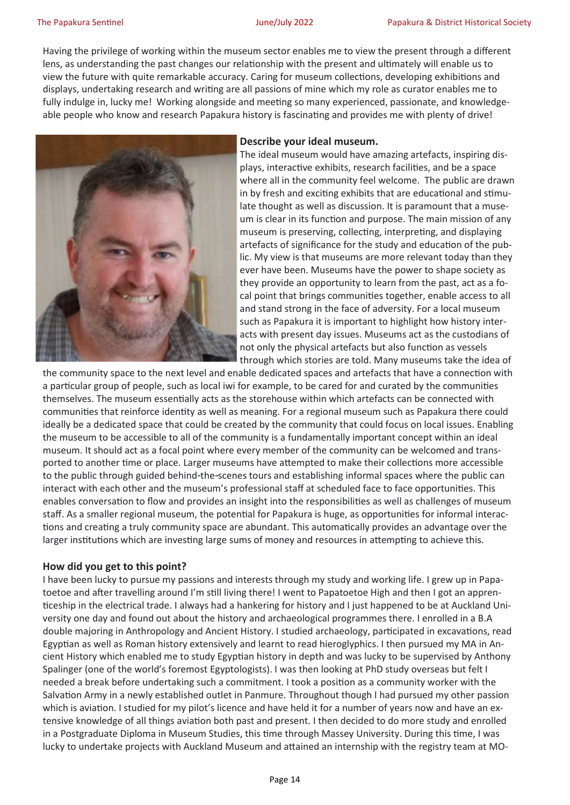Having the privilege of working within the museum sector enables me to view the present through a different lens, as understanding the past changes our relationship with the present and ultimately will enable us to view the future with quite remarkable accuracy. Caring for museum collections, developing exhibitions and displays, undertaking research and writing are all passions of mine which my role as curator enables me to fully indulge in, lucky me! Working alongside and meeting so many experienced, passionate, and knowledgeable people who know and research Papakura history is fascinating and provides me with plenty of drive!



#### **Describe your ideal museum.**

The ideal museum would have amazing artefacts, inspiring displays, interactive exhibits, research facilities, and be a space where all in the community feel welcome. The public are drawn in by fresh and exciting exhibits that are educational and stimulate thought as well as discussion. It is paramount that a museum is clear in its function and purpose. The main mission of any museum is preserving, collecting, interpreting, and displaying artefacts of significance for the study and education of the public. My view is that museums are more relevant today than they ever have been. Museums have the power to shape society as they provide an opportunity to learn from the past, act as a focal point that brings communities together, enable access to all and stand strong in the face of adversity. For a local museum such as Papakura it is important to highlight how history interacts with present day issues. Museums act as the custodians of not only the physical artefacts but also function as vessels through which stories are told. Many museums take the idea of

the community space to the next level and enable dedicated spaces and artefacts that have a connection with a particular group of people, such as local iwi for example, to be cared for and curated by the communities themselves. The museum essentially acts as the storehouse within which artefacts can be connected with communities that reinforce identity as well as meaning. For a regional museum such as Papakura there could ideally be a dedicated space that could be created by the community that could focus on local issues. Enabling the museum to be accessible to all of the community is a fundamentally important concept within an ideal museum. It should act as a focal point where every member of the community can be welcomed and transported to another time or place. Larger museums have attempted to make their collections more accessible to the public through guided behind-the-scenes tours and establishing informal spaces where the public can interact with each other and the museum's professional staff at scheduled face to face opportunities. This enables conversation to flow and provides an insight into the responsibilities as well as challenges of museum staff. As a smaller regional museum, the potential for Papakura is huge, as opportunities for informal interactions and creating a truly community space are abundant. This automatically provides an advantage over the larger institutions which are investing large sums of money and resources in attempting to achieve this.

#### **How did you get to this point?**

I have been lucky to pursue my passions and interests through my study and working life. I grew up in Papatoetoe and after travelling around I'm still living there! I went to Papatoetoe High and then I got an apprenticeship in the electrical trade. I always had a hankering for history and I just happened to be at Auckland University one day and found out about the history and archaeological programmes there. I enrolled in a B.A double majoring in Anthropology and Ancient History. I studied archaeology, participated in excavations, read Egyptian as well as Roman history extensively and learnt to read hieroglyphics. I then pursued my MA in Ancient History which enabled me to study Egyptian history in depth and was lucky to be supervised by Anthony Spalinger (one of the world's foremost Egyptologists). I was then looking at PhD study overseas but felt I needed a break before undertaking such a commitment. I took a position as a community worker with the Salvation Army in a newly established outlet in Panmure. Throughout though I had pursued my other passion which is aviation. I studied for my pilot's licence and have held it for a number of years now and have an extensive knowledge of all things aviation both past and present. I then decided to do more study and enrolled in a Postgraduate Diploma in Museum Studies, this time through Massey University. During this time, I was lucky to undertake projects with Auckland Museum and attained an internship with the registry team at MO-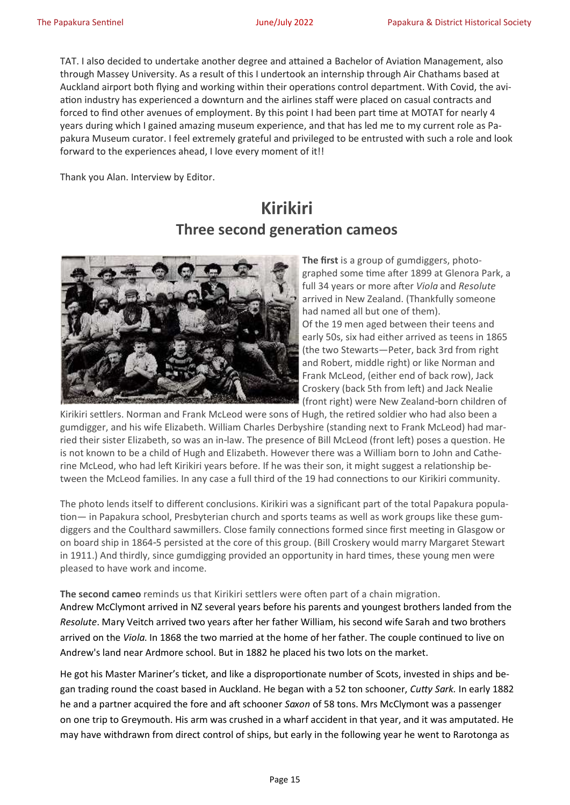TAT. I also decided to undertake another degree and attained a Bachelor of Aviation Management, also through Massey University. As a result of this I undertook an internship through Air Chathams based at Auckland airport both flying and working within their operations control department. With Covid, the aviation industry has experienced a downturn and the airlines staff were placed on casual contracts and forced to find other avenues of employment. By this point I had been part time at MOTAT for nearly 4 years during which I gained amazing museum experience, and that has led me to my current role as Papakura Museum curator. I feel extremely grateful and privileged to be entrusted with such a role and look forward to the experiences ahead, I love every moment of it!!

Thank you Alan. Interview by Editor.

# **Kirikiri Three second generation cameos**



**The first** is a group of gumdiggers, photographed some time after 1899 at Glenora Park, a full 34 years or more after *Viola* and *Resolute*  arrived in New Zealand. (Thankfully someone had named all but one of them). Of the 19 men aged between their teens and early 50s, six had either arrived as teens in 1865 (the two Stewarts—Peter, back 3rd from right and Robert, middle right) or like Norman and Frank McLeod, (either end of back row), Jack Croskery (back 5th from left) and Jack Nealie (front right) were New Zealand-born children of

Kirikiri settlers. Norman and Frank McLeod were sons of Hugh, the retired soldier who had also been a gumdigger, and his wife Elizabeth. William Charles Derbyshire (standing next to Frank McLeod) had married their sister Elizabeth, so was an in-law. The presence of Bill McLeod (front left) poses a question. He is not known to be a child of Hugh and Elizabeth. However there was a William born to John and Catherine McLeod, who had left Kirikiri years before. If he was their son, it might suggest a relationship between the McLeod families. In any case a full third of the 19 had connections to our Kirikiri community.

The photo lends itself to different conclusions. Kirikiri was a significant part of the total Papakura population— in Papakura school, Presbyterian church and sports teams as well as work groups like these gumdiggers and the Coulthard sawmillers. Close family connections formed since first meeting in Glasgow or on board ship in 1864-5 persisted at the core of this group. (Bill Croskery would marry Margaret Stewart in 1911.) And thirdly, since gumdigging provided an opportunity in hard times, these young men were pleased to have work and income.

**The second cameo** reminds us that Kirikiri settlers were often part of a chain migration. Andrew McClymont arrived in NZ several years before his parents and youngest brothers landed from the *Resolute*. Mary Veitch arrived two years after her father William, his second wife Sarah and two brothers arrived on the *Viola*. In 1868 the two married at the home of her father. The couple continued to live on Andrew's land near Ardmore school. But in 1882 he placed his two lots on the market.

He got his Master Mariner's ticket, and like a disproportionate number of Scots, invested in ships and began trading round the coast based in Auckland. He began with a 52 ton schooner, *Cutty Sark.* In early 1882 he and a partner acquired the fore and aft schooner *Saxon* of 58 tons. Mrs McClymont was a passenger on one trip to Greymouth. His arm was crushed in a wharf accident in that year, and it was amputated. He may have withdrawn from direct control of ships, but early in the following year he went to Rarotonga as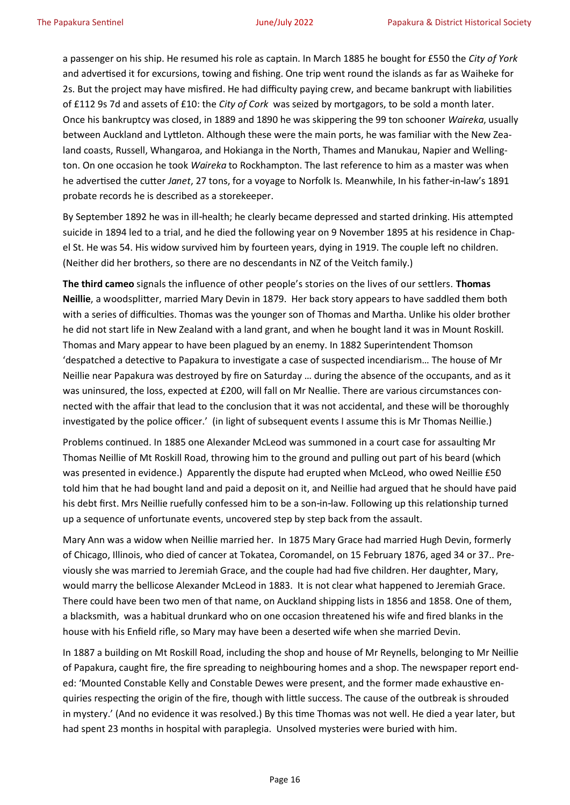a passenger on his ship. He resumed his role as captain. In March 1885 he bought for £550 the *City of York*  and advertised it for excursions, towing and fishing. One trip went round the islands as far as Waiheke for 2s. But the project may have misfired. He had difficulty paying crew, and became bankrupt with liabilities of £112 9s 7d and assets of £10: the *City of Cork* was seized by mortgagors, to be sold a month later. Once his bankruptcy was closed, in 1889 and 1890 he was skippering the 99 ton schooner *Waireka*, usually between Auckland and Lyttleton. Although these were the main ports, he was familiar with the New Zealand coasts, Russell, Whangaroa, and Hokianga in the North, Thames and Manukau, Napier and Wellington. On one occasion he took *Waireka* to Rockhampton. The last reference to him as a master was when he advertised the cutter *Janet*, 27 tons, for a voyage to Norfolk Is. Meanwhile, In his father-in-law's 1891 probate records he is described as a storekeeper.

By September 1892 he was in ill-health; he clearly became depressed and started drinking. His attempted suicide in 1894 led to a trial, and he died the following year on 9 November 1895 at his residence in Chapel St. He was 54. His widow survived him by fourteen years, dying in 1919. The couple left no children. (Neither did her brothers, so there are no descendants in NZ of the Veitch family.)

**The third cameo** signals the influence of other people's stories on the lives of our settlers. **Thomas Neillie**, a woodsplitter, married Mary Devin in 1879. Her back story appears to have saddled them both with a series of difficulties. Thomas was the younger son of Thomas and Martha. Unlike his older brother he did not start life in New Zealand with a land grant, and when he bought land it was in Mount Roskill. Thomas and Mary appear to have been plagued by an enemy. In 1882 Superintendent Thomson 'despatched a detective to Papakura to investigate a case of suspected incendiarism… The house of Mr Neillie near Papakura was destroyed by fire on Saturday … during the absence of the occupants, and as it was uninsured, the loss, expected at £200, will fall on Mr Neallie. There are various circumstances connected with the affair that lead to the conclusion that it was not accidental, and these will be thoroughly investigated by the police officer.' (in light of subsequent events I assume this is Mr Thomas Neillie.)

Problems continued. In 1885 one Alexander McLeod was summoned in a court case for assaulting Mr Thomas Neillie of Mt Roskill Road, throwing him to the ground and pulling out part of his beard (which was presented in evidence.) Apparently the dispute had erupted when McLeod, who owed Neillie £50 told him that he had bought land and paid a deposit on it, and Neillie had argued that he should have paid his debt first. Mrs Neillie ruefully confessed him to be a son-in-law. Following up this relationship turned up a sequence of unfortunate events, uncovered step by step back from the assault.

Mary Ann was a widow when Neillie married her. In 1875 Mary Grace had married Hugh Devin, formerly of Chicago, Illinois, who died of cancer at Tokatea, Coromandel, on 15 February 1876, aged 34 or 37.. Previously she was married to Jeremiah Grace, and the couple had had five children. Her daughter, Mary, would marry the bellicose Alexander McLeod in 1883. It is not clear what happened to Jeremiah Grace. There could have been two men of that name, on Auckland shipping lists in 1856 and 1858. One of them, a blacksmith, was a habitual drunkard who on one occasion threatened his wife and fired blanks in the house with his Enfield rifle, so Mary may have been a deserted wife when she married Devin.

In 1887 a building on Mt Roskill Road, including the shop and house of Mr Reynells, belonging to Mr Neillie of Papakura, caught fire, the fire spreading to neighbouring homes and a shop. The newspaper report ended: 'Mounted Constable Kelly and Constable Dewes were present, and the former made exhaustive enquiries respecting the origin of the fire, though with little success. The cause of the outbreak is shrouded in mystery.' (And no evidence it was resolved.) By this time Thomas was not well. He died a year later, but had spent 23 months in hospital with paraplegia. Unsolved mysteries were buried with him.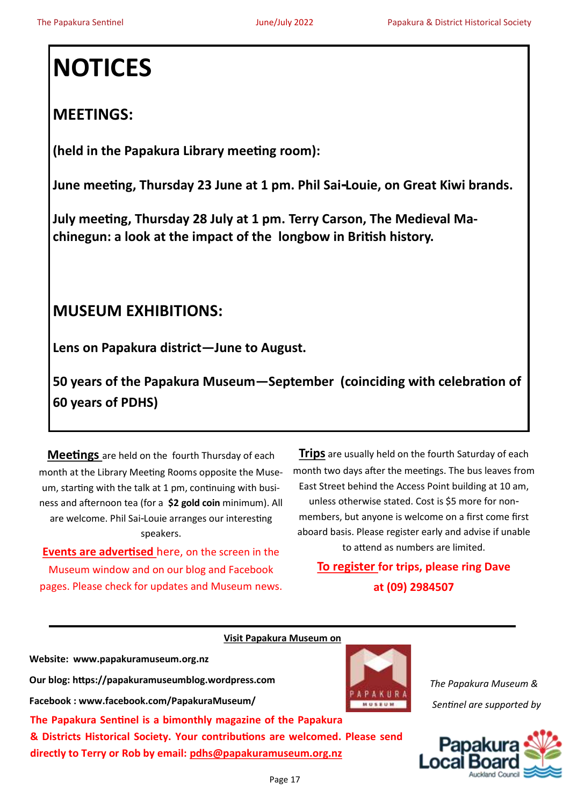# **NOTICES**

# **MEETINGS:**

**(held in the Papakura Library meeting room):**

**June meeting, Thursday 23 June at 1 pm. Phil Sai-Louie, on Great Kiwi brands.**

**July meeting, Thursday 28 July at 1 pm. Terry Carson, The Medieval Machinegun: a look at the impact of the longbow in British history.**

# **MUSEUM EXHIBITIONS:**

**Lens on Papakura district—June to August.**

**50 years of the Papakura Museum—September (coinciding with celebration of 60 years of PDHS)**

**Meetings** are held on the fourth Thursday of each month at the Library Meeting Rooms opposite the Museum, starting with the talk at 1 pm, continuing with business and afternoon tea (for a **\$2 gold coin** minimum). All are welcome. Phil Sai-Louie arranges our interesting speakers.

**Events are advertised** here, on the screen in the Museum window and on our blog and Facebook pages. Please check for updates and Museum news.

**Trips** are usually held on the fourth Saturday of each month two days after the meetings. The bus leaves from East Street behind the Access Point building at 10 am, unless otherwise stated. Cost is \$5 more for nonmembers, but anyone is welcome on a first come first

aboard basis. Please register early and advise if unable to attend as numbers are limited.

**To register for trips, please ring Dave at (09) 2984507**

 **Visit Papakura Museum on Website: www.papakuramuseum.org.nz Our blog: https://papakuramuseumblog.wordpress.com Facebook : www.facebook.com/PapakuraMuseum/**  MUSEUR **The Papakura Sentinel is a bimonthly magazine of the Papakura & Districts Historical Society. Your contributions are welcomed. Please send directly to Terry or Rob by email: pdhs@papakuramuseum.org.nz**



*The Papakura Museum & Sentinel are supported by*